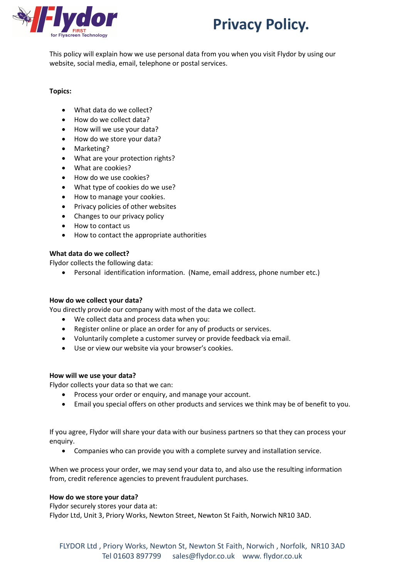



This policy will explain how we use personal data from you when you visit Flydor by using our website, social media, email, telephone or postal services.

## **Topics:**

- What data do we collect?
- How do we collect data?
- How will we use your data?
- How do we store your data?
- Marketing?
- What are your protection rights?
- What are cookies?
- How do we use cookies?
- What type of cookies do we use?
- How to manage your cookies.
- Privacy policies of other websites
- Changes to our privacy policy
- How to contact us
- How to contact the appropriate authorities

## **What data do we collect?**

Flydor collects the following data:

• Personal identification information. (Name, email address, phone number etc.)

## **How do we collect your data?**

You directly provide our company with most of the data we collect.

- We collect data and process data when you:
- Register online or place an order for any of products or services.
- Voluntarily complete a customer survey or provide feedback via email.
- Use or view our website via your browser's cookies.

## **How will we use your data?**

Flydor collects your data so that we can:

- Process your order or enquiry, and manage your account.
- Email you special offers on other products and services we think may be of benefit to you.

If you agree, Flydor will share your data with our business partners so that they can process your enquiry.

• Companies who can provide you with a complete survey and installation service.

When we process your order, we may send your data to, and also use the resulting information from, credit reference agencies to prevent fraudulent purchases.

## **How do we store your data?**

Flydor securely stores your data at:

Flydor Ltd, Unit 3, Priory Works, Newton Street, Newton St Faith, Norwich NR10 3AD.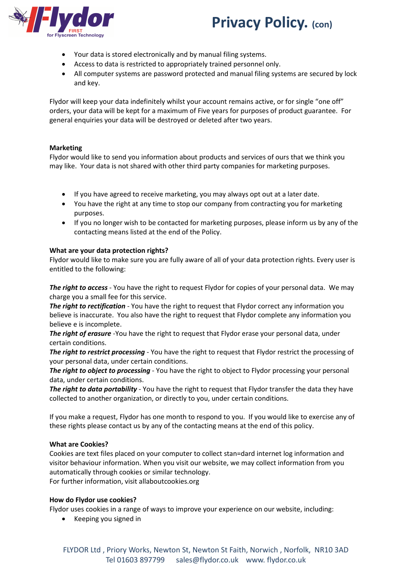

# **Privacy Policy. (con)**

- Your data is stored electronically and by manual filing systems.
- Access to data is restricted to appropriately trained personnel only.
- All computer systems are password protected and manual filing systems are secured by lock and key.

Flydor will keep your data indefinitely whilst your account remains active, or for single "one off" orders, your data will be kept for a maximum of Five years for purposes of product guarantee. For general enquiries your data will be destroyed or deleted after two years.

# **Marketing**

Flydor would like to send you information about products and services of ours that we think you may like. Your data is not shared with other third party companies for marketing purposes.

- If you have agreed to receive marketing, you may always opt out at a later date.
- You have the right at any time to stop our company from contracting you for marketing purposes.
- If you no longer wish to be contacted for marketing purposes, please inform us by any of the contacting means listed at the end of the Policy.

# **What are your data protection rights?**

Flydor would like to make sure you are fully aware of all of your data protection rights. Every user is entitled to the following:

*The right to access* - You have the right to request Flydor for copies of your personal data. We may charge you a small fee for this service.

*The right to rectification* - You have the right to request that Flydor correct any information you believe is inaccurate. You also have the right to request that Flydor complete any information you believe e is incomplete.

*The right of erasure* -You have the right to request that Flydor erase your personal data, under certain conditions.

*The right to restrict processing* - You have the right to request that Flydor restrict the processing of your personal data, under certain conditions.

*The right to object to processing* - You have the right to object to Flydor processing your personal data, under certain conditions.

*The right to data portability* - You have the right to request that Flydor transfer the data they have collected to another organization, or directly to you, under certain conditions.

If you make a request, Flydor has one month to respond to you. If you would like to exercise any of these rights please contact us by any of the contacting means at the end of this policy.

## **What are Cookies?**

Cookies are text files placed on your computer to collect stan=dard internet log information and visitor behaviour information. When you visit our website, we may collect information from you automatically through cookies or similar technology.

For further information, visit allaboutcookies.org

## **How do Flydor use cookies?**

Flydor uses cookies in a range of ways to improve your experience on our website, including:

• Keeping you signed in